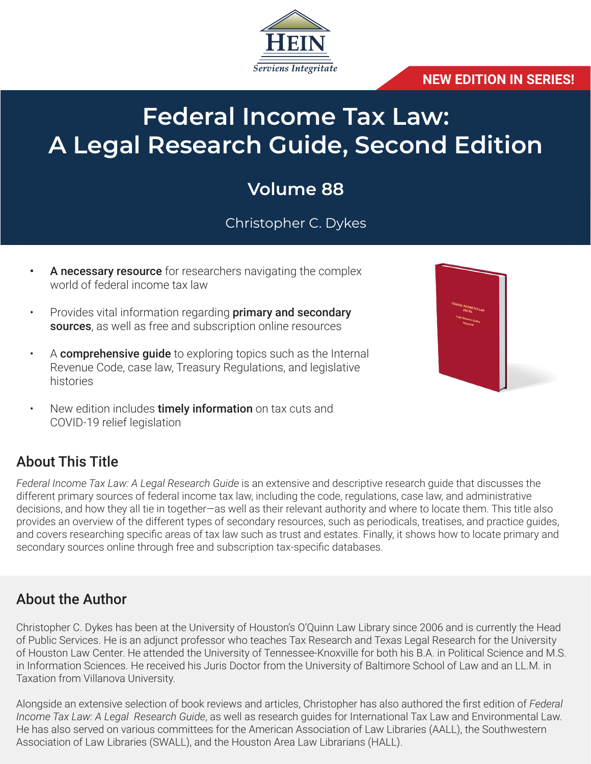

#### **NEW EDITION IN SERIES!**

# **Federal Income Tax Law: A Legal Research Guide, Second Edition**

## **Volume 88**

## Christopher C. Dykes

- A necessary resource for researchers navigating the complex world of federal income tax law
- Provides vital information regarding **primary and secondary** sources, as well as free and subscription online resources
- A **comprehensive guide** to exploring topics such as the Internal Revenue Code, case law, Treasury Regulations, and legislative histories
- New edition includes timely information on tax cuts and COVID-19 relief legislation

## About This Title

*Federal Income Tax Law: A Legal Research Guide* is an extensive and descriptive research guide that discusses the different primary sources of federal income tax law, including the code, regulations, case law, and administrative decisions, and how they all tie in together—as well as their relevant authority and where to locate them. This title also provides an overview of the different types of secondary resources, such as periodicals, treatises, and practice guides, and covers researching specific areas of tax law such as trust and estates. Finally, it shows how to locate primary and secondary sources online through free and subscription tax-specific databases.

## About the Author

Christopher C. Dykes has been at the University of Houston's O'Quinn Law Library since 2006 and is currently the Head of Public Services. He is an adjunct professor who teaches Tax Research and Texas Legal Research for the University of Houston Law Center. He attended the University of Tennessee-Knoxville for both his B.A. in Political Science and M.S. in Information Sciences. He received his Juris Doctor from the University of Baltimore School of Law and an LL.M. in Taxation from Villanova University.

Alongside an extensive selection of book reviews and articles, Christopher has also authored the first edition of *Federal Income Tax Law: A Legal Research Guide*, as well as research guides for International Tax Law and Environmental Law. He has also served on various committees for the American Association of Law Libraries (AALL), the Southwestern Association of Law Libraries (SWALL), and the Houston Area Law Librarians (HALL).